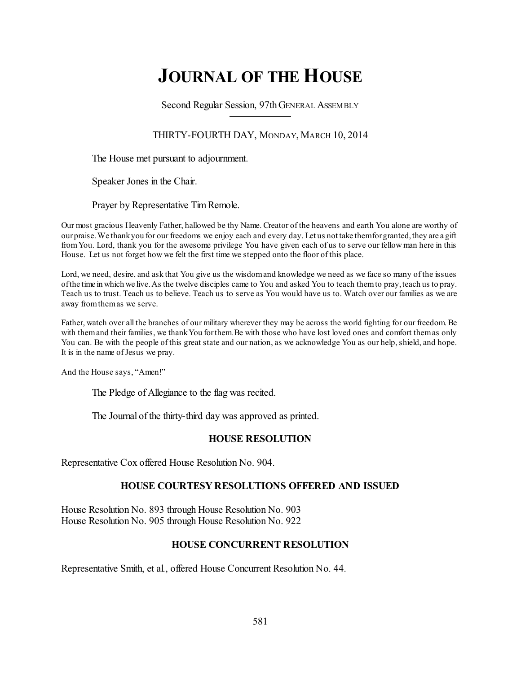# **JOURNAL OF THE HOUSE**

Second Regular Session, 97thGENERAL ASSEMBLY

THIRTY-FOURTH DAY, MONDAY, MARCH 10, 2014

The House met pursuant to adjournment.

Speaker Jones in the Chair.

Prayer by Representative Tim Remole.

Our most gracious Heavenly Father, hallowed be thy Name. Creator of the heavens and earth You alone are worthy of ourpraise.We thankyou for our freedoms we enjoy each and every day. Let us not take themforgranted,they are a gift fromYou. Lord, thank you for the awesome privilege You have given each of us to serve our fellow man here in this House. Let us not forget how we felt the first time we stepped onto the floor of this place.

Lord, we need, desire, and ask that You give us the wisdomand knowledge we need as we face so many of the issues ofthe time in which we live.As the twelve disciples came to You and asked You to teach themto pray,teach us to pray. Teach us to trust. Teach us to believe. Teach us to serve as You would have us to. Watch over our families as we are away fromthemas we serve.

Father, watch over all the branches of our military wherever they may be across the world fighting for our freedom. Be with them and their families, we thank You for them. Be with those who have lost loved ones and comfort them as only You can. Be with the people of this great state and our nation, as we acknowledge You as our help, shield, and hope. It is in the name of Jesus we pray.

And the House says, "Amen!"

The Pledge of Allegiance to the flag was recited.

The Journal of the thirty-third day was approved as printed.

## **HOUSE RESOLUTION**

Representative Cox offered House Resolution No. 904.

## **HOUSE COURTESY RESOLUTIONS OFFERED AND ISSUED**

House Resolution No. 893 through House Resolution No. 903 House Resolution No. 905 through House Resolution No. 922

## **HOUSE CONCURRENT RESOLUTION**

Representative Smith, et al., offered House Concurrent Resolution No. 44.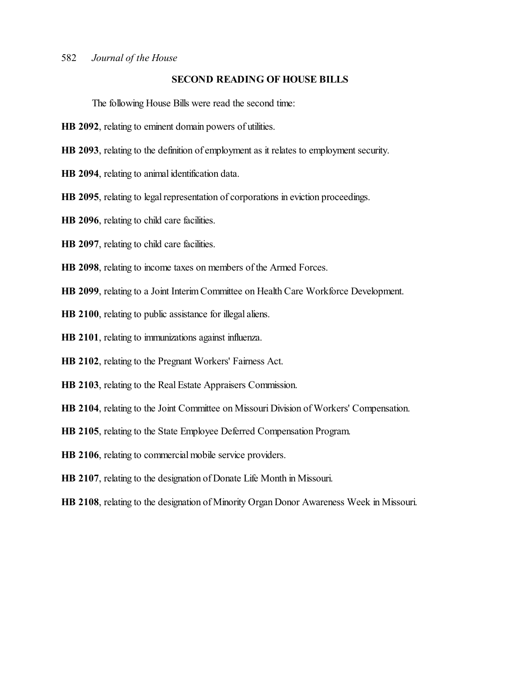## **SECOND READING OF HOUSE BILLS**

The following House Bills were read the second time:

- **HB 2092**, relating to eminent domain powers of utilities.
- **HB 2093**, relating to the definition of employment as it relates to employment security.
- **HB 2094**, relating to animal identification data.
- **HB 2095**, relating to legal representation of corporations in eviction proceedings.
- **HB 2096**, relating to child care facilities.
- **HB 2097**, relating to child care facilities.
- **HB 2098**, relating to income taxes on members of the Armed Forces.
- **HB 2099**, relating to a Joint Interim Committee on Health Care Workforce Development.
- **HB 2100**, relating to public assistance for illegal aliens.
- **HB 2101**, relating to immunizations against influenza.
- **HB 2102**, relating to the Pregnant Workers' Fairness Act.
- **HB 2103**, relating to the Real Estate Appraisers Commission.
- **HB 2104**, relating to the Joint Committee on Missouri Division of Workers' Compensation.
- **HB 2105**, relating to the State Employee Deferred Compensation Program.
- **HB 2106**, relating to commercial mobile service providers.
- **HB 2107**, relating to the designation of Donate Life Month in Missouri.
- **HB 2108**, relating to the designation of Minority Organ Donor Awareness Week in Missouri.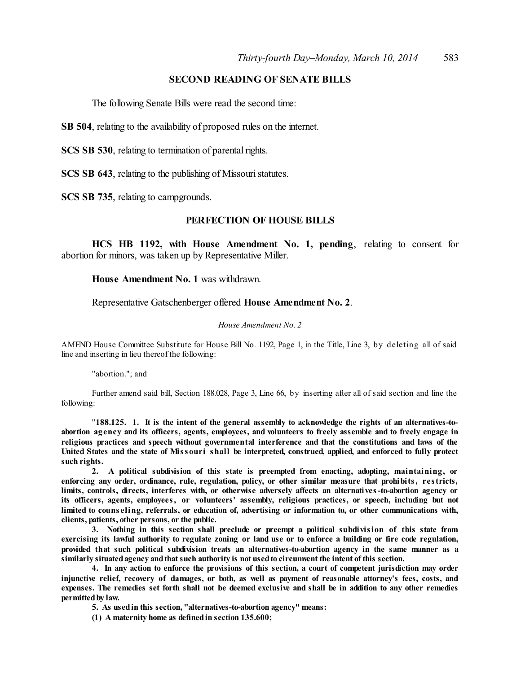## **SECOND READING OF SENATE BILLS**

The following Senate Bills were read the second time:

**SB 504**, relating to the availability of proposed rules on the internet.

**SCS SB 530**, relating to termination of parental rights.

**SCS SB 643**, relating to the publishing of Missouri statutes.

**SCS SB 735**, relating to campgrounds.

#### **PERFECTION OF HOUSE BILLS**

**HCS HB 1192, with House Amendment No. 1, pending**, relating to consent for abortion for minors, was taken up by Representative Miller.

**House Amendment No. 1** was withdrawn.

Representative Gatschenberger offered **House Amendment No. 2**.

#### *House Amendment No. 2*

AMEND House Committee Substitute for House Bill No. 1192, Page 1, in the Title, Line 3, by deleting all of said line and inserting in lieu thereof the following:

"abortion."; and

Further amend said bill, Section 188.028, Page 3, Line 66, by inserting after all of said section and line the following:

"**188.125. 1. It is the intent of the general assembly to acknowledge the rights of an alternatives-to**abortion agency and its officers, agents, employees, and volunteers to freely assemble and to freely engage in **religious practices and speech without governmental interference and that the constitutions and laws of the** United States and the state of Missouri shall be interpreted, construed, applied, and enforced to fully protect **such rights.**

**2. A political subdivision of this state is preempted from enacting, adopting, maintaining, or enforcing any order, ordinance, rule, regulation, policy, or other similar measure that prohibits, restricts, limits, controls, directs, interferes with, or otherwise adversely affects an alternatives-to-abortion agency or its officers, agents, employees, or volunteers' assembly, religious practices, or speech, including but not limited to couns eling, referrals, or education of, advertising or information to, or other communications with, clients, patients, other persons, or the public.**

**3. Nothing in this section shall preclude or preempt a political subdivision of this state from** exercising its lawful authority to regulate zoning or land use or to enforce a building or fire code regulation, **provided that such political subdivision treats an alternatives-to-abortion agency in the same manner as a similarly situatedagency andthatsuch authority is not usedto circumvent the intent of this section.**

4. In any action to enforce the provisions of this section, a court of competent jurisdiction may order injunctive relief, recovery of damages, or both, as well as payment of reasonable attorney's fees, costs, and expenses. The remedies set forth shall not be deemed exclusive and shall be in addition to any other remedies **permittedby law.**

**5. As usedin this section, "alternatives-to-abortion agency" means:**

**(1) A maternity home as definedin section 135.600;**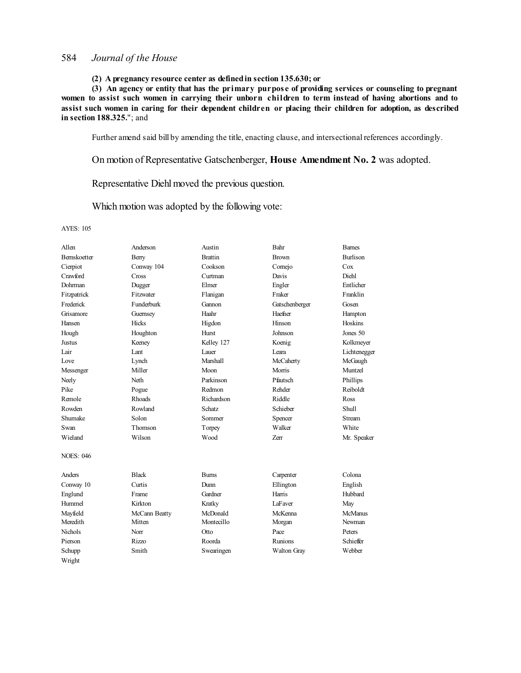**(2) A pregnancy resource center as definedin section 135.630; or**

**(3) An agency or entity that has the primary purpos e of providing services or counseling to pregnant** women to assist such women in carrying their unborn children to term instead of having abortions and to assist such women in caring for their dependent children or placing their children for adoption, as described **in section 188.325.**"; and

Further amend said bill by amending the title, enacting clause, and intersectional references accordingly.

On motion of Representative Gatschenberger, **House Amendment No. 2** was adopted.

Representative Diehl moved the previous question.

Which motion was adopted by the following vote:

| Allen            | Anderson          | Austin          | Bahr               | <b>Bames</b>    |
|------------------|-------------------|-----------------|--------------------|-----------------|
| Bernskoetter     | Berry             | <b>Brattin</b>  | <b>Brown</b>       | <b>Burlison</b> |
| Cierpiot         | Conway 104        | Cookson         | Cornejo            | Cox             |
| Crawford         | Cross             | Curtman         | Davis              | Diehl           |
| Dohrman          | Dugger            | Elmer           | Engler             | Entlicher       |
| Fitzpatrick      | Fitzwater         | Flanigan        | Fraker             | Franklin        |
| Frederick        | <b>Funderburk</b> | Gannon          | Gatschenberger     | Gosen           |
| Grisamore        | Guernsey          | Haahr           | Haefner            | Hampton         |
| Hansen           | Hicks             | Higdon          | Hinson             | Hoskins         |
| Hough            | Houghton          | Hurst           | Johnson            | Jones 50        |
| <b>Justus</b>    | Keeney            | Kelley 127      | Koenig             | Kolkmeyer       |
| Lair             | Lant              | Lauer           | Leara              | Lichtenegger    |
| Love             | Lynch             | <b>Marshall</b> | McCaherty          | McGaugh         |
| Messenger        | Miller            | Moon            | Morris             | Muntzel         |
| Neely            | Neth              | Parkinson       | Pfautsch           | Phillips        |
| Pike             | Pogue             | Redmon          | Rehder             | Reiboldt        |
| Remole           | Rhoads            | Richardson      | Riddle             | Ross            |
| Rowden           | Rowland           | Schatz          | Schieber           | Shull           |
| Shumake          | Solon             | Sommer          | Spencer            | <b>Stream</b>   |
| Swan             | Thomson           | Torpey          | Walker             | White           |
| Wieland          | Wilson            | Wood            | <b>Zerr</b>        | Mr. Speaker     |
| <b>NOES: 046</b> |                   |                 |                    |                 |
| Anders           | <b>Black</b>      | <b>Burns</b>    | Carpenter          | Colona          |
| Conway 10        | Curtis            | Dunn            | Ellington          | English         |
| Englund          | Frame             | Gardner         | Harris             | Hubbard         |
| Hummel           | Kirkton           | Kratky          | LaFaver            | May             |
| Mayfield         | McCann Beatty     | McDonald        | McKenna            | McManus         |
| Meredith         | Mitten            | Montecillo      | Morgan             | Newman          |
| Nichols          | Norr              | Otto            | Pace               | Peters          |
| Pierson          | Rizzo             | Roorda          | <b>Runions</b>     | Schieffer       |
| Schupp           | Smith             | Swearingen      | <b>Walton Gray</b> | Webber          |
| Wright           |                   |                 |                    |                 |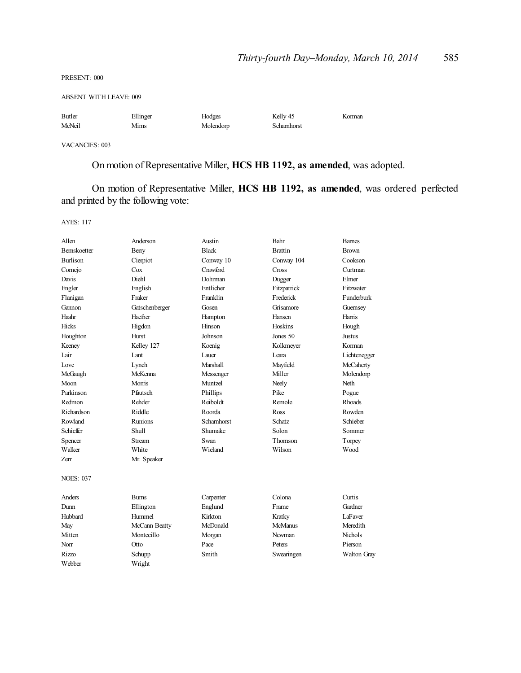PRESENT: 000

ABSENT WITH LEAVE: 009

| Butler | Ellinger | Hodges    | Kelly 45   | Korman |
|--------|----------|-----------|------------|--------|
| McNeil | Mims     | Molendorp | Schamhorst |        |

VACANCIES: 003

On motion of Representative Miller, **HCS HB 1192, as amended**, was adopted.

On motion of Representative Miller, **HCS HB 1192, as amended**, was ordered perfected and printed by the following vote:

| Allen               | Anderson       | Austin         | Bahr           | <b>Barnes</b> |
|---------------------|----------------|----------------|----------------|---------------|
| <b>Bernskoetter</b> | Berry          | <b>Black</b>   | <b>Brattin</b> | <b>Brown</b>  |
| <b>Burlison</b>     | Cierpiot       | Conway 10      | Conway 104     | Cookson       |
| Cornejo             | Cox            | Crawford       | Cross          | Curtman       |
| Davis               | Diehl          | <b>Dohrman</b> | Dugger         | Elmer         |
| Engler              | English        | Entlicher      | Fitzpatrick    | Fitzwater     |
| Flanigan            | Fraker         | Franklin       | Frederick      | Funderburk    |
| Gannon              | Gatschenberger | Gosen          | Grisamore      | Guernsey      |
| Haahr               | Haefner        | Hampton        | Hansen         | Harris        |
| <b>Hicks</b>        | Higdon         | Hinson         | Hoskins        | Hough         |
| Houghton            | Hurst          | Johnson        | Jones 50       | <b>Justus</b> |
| Keeney              | Kelley 127     | Koenig         | Kolkmeyer      | Korman        |
| Lair                | Lant           | Lauer          | Leara          | Lichtenegger  |
| Love                | Lynch          | Marshall       | Mayfield       | McCaherty     |
| McGaugh             | McKenna        | Messenger      | Miller         | Molendorp     |
| Moon                | Morris         | Muntzel        | Neely          | Neth          |
| Parkinson           | Pfautsch       | Phillips       | Pike           | Pogue         |
| Redmon              | Rehder         | Reiboldt       | Remole         | <b>Rhoads</b> |
| Richardson          | Riddle         | Roorda         | Ross           | Rowden        |
| Rowland             | Runions        | Scharnhorst    | Schatz         | Schieber      |
| Schieffer           | Shull          | Shumake        | Solon          | Sommer        |
| Spencer             | <b>Stream</b>  | Swan           | Thomson        | Torpey        |
| Walker              | White          | Wieland        | Wilson         | Wood          |
| Zerr                | Mr. Speaker    |                |                |               |
| <b>NOES: 037</b>    |                |                |                |               |
| Anders              | <b>Burns</b>   | Carpenter      | Colona         | Curtis        |
| Dunn                | Ellington      | Englund        | Frame          | Gardner       |
| Hubbard             | Hummel         | Kirkton        | Kratky         | LaFaver       |
| May                 | McCann Beatty  | McDonald       | McManus        | Meredith      |
| Mitten              | Montecillo     | Morgan         | Newman         | Nichols       |
| Norr                | Otto           | Pace           | Peters         | Pierson       |
| <b>Rizzo</b>        | Schupp         | Smith          | Swearingen     | Walton Gray   |
| Webber              | Wright         |                |                |               |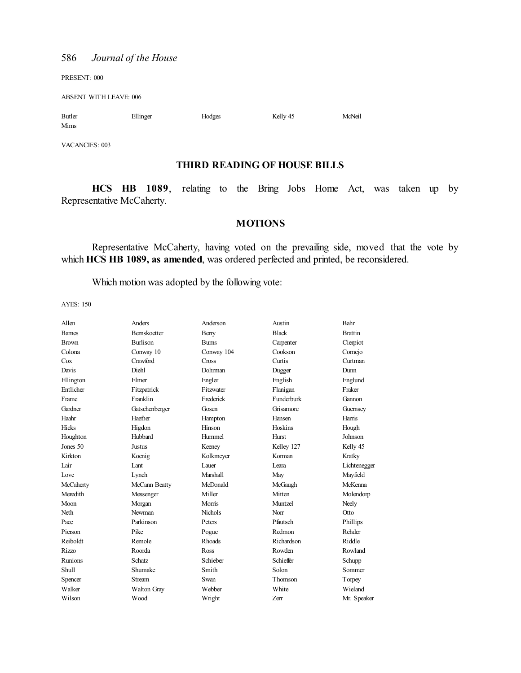PRESENT: 000

ABSENT WITH LEAVE: 006

| Butler | Ellinger | Hodges | Kelly 45 | McNeil |
|--------|----------|--------|----------|--------|
| Mims   |          |        |          |        |

VACANCIES: 003

## **THIRD READING OF HOUSE BILLS**

**HCS HB 1089**, relating to the Bring Jobs Home Act, was taken up by Representative McCaherty.

#### **MOTIONS**

Representative McCaherty, having voted on the prevailing side, moved that the vote by which **HCS HB 1089, as amended**, was ordered perfected and printed, be reconsidered.

Which motion was adopted by the following vote:

| Allen         | Anders              | Anderson        | Austin       | Bahr           |
|---------------|---------------------|-----------------|--------------|----------------|
| <b>Barnes</b> | <b>Bernskoetter</b> | Berry           | <b>Black</b> | <b>Brattin</b> |
| <b>Brown</b>  | <b>Burlison</b>     | <b>Bums</b>     | Carpenter    | Cierpiot       |
| Colona        | Conway 10           | Conway 104      | Cookson      | Comejo         |
| Cox           | Crawford            | Cross           | Curtis       | Curtman        |
| Davis         | Diehl               | Dohrman         | Dugger       | Dunn           |
| Ellington     | Elmer               | Engler          | English      | Englund        |
| Entlicher     | Fitzpatrick         | Fitzwater       | Flanigan     | Fraker         |
| Frame         | Franklin            | Frederick       | Funderburk   | Gannon         |
| Gardner       | Gatschenberger      | Gosen           | Grisamore    | Guernsey       |
| Haahr         | Haefner             | Hampton         | Hansen       | Harris         |
| Hicks         | Higdon              | Hinson          | Hoskins      | Hough          |
| Houghton      | Hubbard             | Hummel          | Hurst        | Johnson        |
| Jones 50      | Justus              | Keeney          | Kelley 127   | Kelly 45       |
| Kirkton       | Koenig              | Kolkmeyer       | Korman       | Kratky         |
| Lair          | Lant                | Lauer           | I eara       | Lichtenegger   |
| Love          | Lynch               | <b>Marshall</b> | May          | Mayfield       |
| McCaherty     | McCann Beatty       | McDonald        | McGaugh      | McKenna        |
| Meredith      | Messenger           | Miller          | Mitten       | Molendorp      |
| Moon          | Morgan              | Morris          | Muntzel      | Neely          |
| Neth          | Newman              | <b>Nichols</b>  | Norr         | Otto           |
| Pace          | Parkinson           | Peters          | Pfautsch     | Phillips       |
| Pierson       | Pike                | Pogue           | Redmon       | Rehder         |
| Reiboldt      | Remole              | <b>Rhoads</b>   | Richardson   | Riddle         |
| <b>Rizzo</b>  | Roorda              | Ross            | Rowden       | Rowland        |
| Runions       | Schatz              | Schieber        | Schieffer    | Schupp         |
| <b>Shull</b>  | Shumake             | Smith           | Solon        | Sommer         |
| Spencer       | <b>Stream</b>       | Swan            | Thomson      | Torpey         |
| Walker        | Walton Gray         | Webber          | White        | Wieland        |
| Wilson        | Wood                | Wright          | Zerr         | Mr. Speaker    |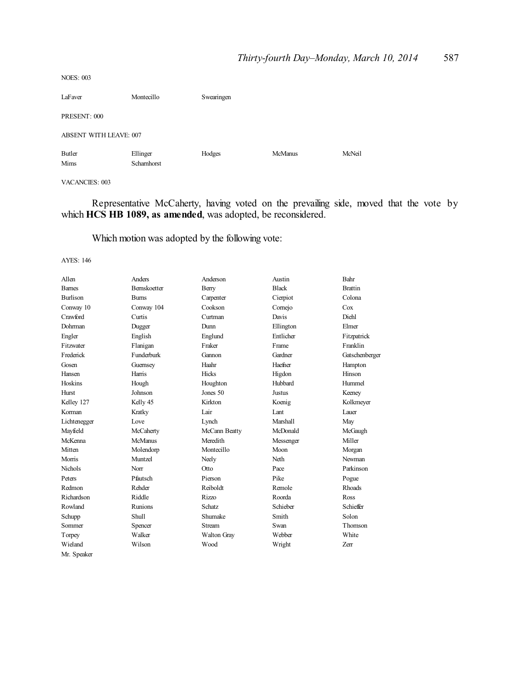| <b>NOES: 003</b>              |                        |            |                |        |
|-------------------------------|------------------------|------------|----------------|--------|
| LaFaver                       | Montecillo             | Swearingen |                |        |
| PRESENT: 000                  |                        |            |                |        |
| <b>ABSENT WITH LEAVE: 007</b> |                        |            |                |        |
| Butler<br>Mims                | Ellinger<br>Schamhorst | Hodges     | <b>McManus</b> | McNeil |

#### VACANCIES: 003

Representative McCaherty, having voted on the prevailing side, moved that the vote by which **HCS HB 1089, as amended**, was adopted, be reconsidered.

Which motion was adopted by the following vote:

| Allen           | Anders              | Anderson           | Austin        | Bahr           |
|-----------------|---------------------|--------------------|---------------|----------------|
| <b>Barnes</b>   | <b>Bernskoetter</b> | Berry              | <b>Black</b>  | <b>Brattin</b> |
| <b>Burlison</b> | <b>Burns</b>        | Carpenter          | Cierpiot      | Colona         |
| Conway 10       | Conway 104          | Cookson            | Comejo        | Cox            |
| Crawford        | Curtis              | Curtman            | Davis         | <b>Diehl</b>   |
| Dohrman         | Dugger              | Dunn               | Ellington     | Elmer          |
| Engler          | English             | Englund            | Entlicher     | Fitzpatrick    |
| Fitzwater       | Flanigan            | Fraker             | Frame         | Franklin       |
| Frederick       | Funderburk          | Gannon             | Gardner       | Gatschenberger |
| Gosen           | Guernsey            | Haahr              | Haefner       | Hampton        |
| Hansen          | Harris              | Hicks              | Higdon        | Hinson         |
| Hoskins         | Hough               | Houghton           | Hubbard       | Hummel         |
| Hurst           | Johnson             | Jones 50           | <b>Justus</b> | Keeney         |
| Kelley 127      | Kelly 45            | Kirkton            | Koenig        | Kolkmeyer      |
| Korman          | Kratky              | Lair               | Lant          | Lauer          |
| Lichtenegger    | Love                | Lynch              | Marshall      | May            |
| Mayfield        | McCaherty           | McCann Beatty      | McDonald      | McGaugh        |
| McKenna         | <b>McManus</b>      | Meredith           | Messenger     | Miller         |
| Mitten          | Molendorp           | Montecillo         | Moon          | Morgan         |
| Morris          | Muntzel             | Neely              | Neth          | Newman         |
| <b>Nichols</b>  | Norr                | Otto               | Pace          | Parkinson      |
| Peters          | Pfautsch            | Pierson            | Pike          | Pogue          |
| Redmon          | Rehder              | Reiboldt           | Remole        | <b>Rhoads</b>  |
| Richardson      | Riddle              | Rizzo              | Roorda        | <b>Ross</b>    |
| Rowland         | Runions             | Schatz             | Schieber      | Schieffer      |
| Schupp          | <b>Shull</b>        | Shumake            | Smith         | Solon          |
| Sommer          | Spencer             | <b>Stream</b>      | Swan          | Thomson        |
| Torpey          | Walker              | <b>Walton Gray</b> | Webber        | White          |
| Wieland         | Wilson              | Wood               | Wright        | Zerr           |
| Mr. Speaker     |                     |                    |               |                |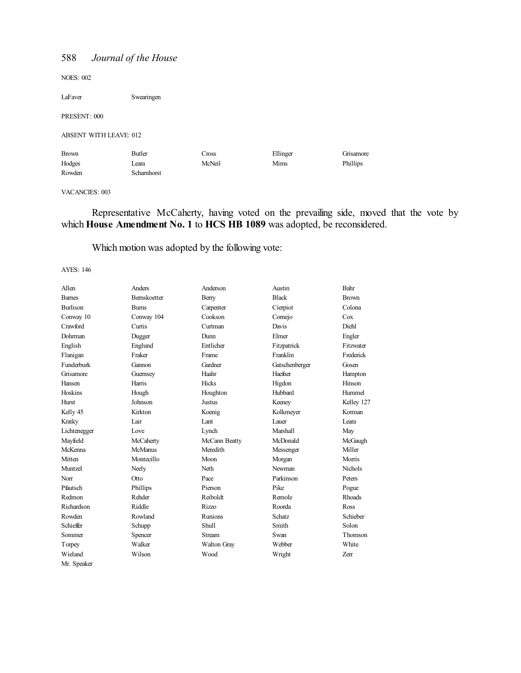NOES: 002

LaFaver Swearingen

PRESENT: 000

#### ABSENT WITH LEAVE: 012

| <b>Brown</b> | Butler     | $\cos s$ | Ellinger | Grisamore |
|--------------|------------|----------|----------|-----------|
| Hodges       | Leara      | McNeil   | Mims     | Phillips  |
| Rowden       | Schamhorst |          |          |           |

#### VACANCIES: 003

Representative McCaherty, having voted on the prevailing side, moved that the vote by which **House Amendment No. 1 to HCS HB 1089** was adopted, be reconsidered.

# Which motion was adopted by the following vote:

| Allen           | Anders         | Anderson           | Austin          | Bahr           |
|-----------------|----------------|--------------------|-----------------|----------------|
| <b>Barnes</b>   | Bernskoetter   | Berry              | <b>Black</b>    | <b>Brown</b>   |
| <b>Burlison</b> | <b>Burns</b>   | Carpenter          | Cierpiot        | Colona         |
| Conway 10       | Conway 104     | Cookson            | Comejo          | Cox            |
| Crawford        | Curtis         | Curtman            | Davis           | Diehl          |
| Dohrman         | Dugger         | Dunn               | Elmer           | Engler         |
| English         | Englund        | Entlicher          | Fitzpatrick     | Fitzwater      |
| Flanigan        | Fraker         | Frame              | Franklin        | Frederick      |
| Funderburk      | Gannon         | Gardner            | Gatschenberger  | Gosen          |
| Grisamore       | Guernsey       | Haahr              | Haefner         | Hampton        |
| Hansen          | Harris         | Hicks              | Higdon          | Hinson         |
| Hoskins         | Hough          | Houghton           | Hubbard         | Hummel         |
| Hurst           | Johnson        | Justus             | Keeney          | Kelley 127     |
| Kelly 45        | Kirkton        | Koenig             | Kolkmeyer       | Korman         |
| Kratky          | Lair           | Lant               | Lauer           | Leara          |
| Lichtenegger    | Love           | Lynch              | <b>Marshall</b> | May            |
| Mayfield        | McCaherty      | McCann Beatty      | McDonald        | McGaugh        |
| McKenna         | <b>McManus</b> | Meredith           | Messenger       | Miller         |
| Mitten          | Montecillo     | Moon               | Morgan          | Morris         |
| Muntzel         | Neely          | Neth               | Newman          | <b>Nichols</b> |
| Norr            | Otto           | Pace               | Parkinson       | Peters         |
| Pfautsch        | Phillips       | Pierson            | Pike            | Pogue          |
| Redmon          | Rehder         | Reiboldt           | Remole          | Rhoads         |
| Richardson      | Riddle         | <b>Rizzo</b>       | Roorda          | Ross           |
| Rowden          | Rowland        | Runions            | Schatz          | Schieber       |
| Schieffer       | Schupp         | <b>Shull</b>       | Smith           | Solon          |
| Sommer          | Spencer        | <b>Stream</b>      | Swan            | Thomson        |
| Torpey          | Walker         | <b>Walton Gray</b> | Webber          | White          |
| Wieland         | Wilson         | Wood               | Wright          | Zerr           |
| Mr. Speaker     |                |                    |                 |                |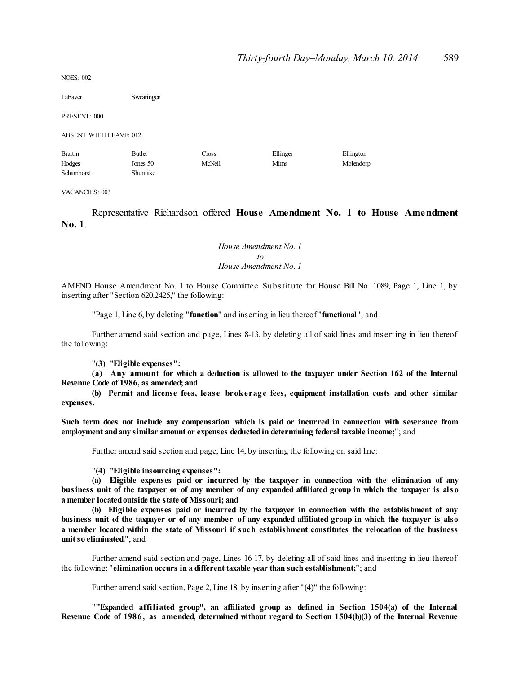$NOES: 002$ 

LaFaver Swearingen

PRESENT: 000

ABSENT WITH LEAVE: 012

| <b>Brattin</b> | Butler   | ross   | Ellinger | Ellington |
|----------------|----------|--------|----------|-----------|
| Hodges         | Jones 50 | McNeil | Mims     | Molendorp |
| Schamhorst     | Shumake  |        |          |           |

VACANCIES: 003

Representative Richardson offered **House Amendment No. 1 to House Amendment No. 1**.

> *House Amendment No. 1 to House Amendment No. 1*

AMEND House Amendment No. 1 to House Committee Substitute for House Bill No. 1089, Page 1, Line 1, by inserting after "Section 620.2425," the following:

"Page 1, Line 6, by deleting "**function**" and inserting in lieu thereof "**functional**"; and

Further amend said section and page, Lines 8-13, by deleting all of said lines and ins erting in lieu thereof the following:

"**(3) "Eligible expenses":**

**(a) Any amount for which a deduction is allowed to the taxpayer under Section 162 of the Internal Revenue Code of 1986, as amended; and**

**(b) Permit and license fees, leas e brokerage fees, equipment installation costs and other similar expenses.**

**Such term does not include any compensation which is paid or incurred in connection with severance from employment andany similar amount or expenses deductedin determining federal taxable income;**"; and

Further amend said section and page, Line 14, by inserting the following on said line:

"**(4) "Eligible insourcing expenses":**

**(a) Eligible expenses paid or incurred by the taxpayer in connection with the elimination of any** business unit of the taxpayer or of any member of any expanded affiliated group in which the taxpayer is also **a member locatedoutside the state of Missouri; and**

**(b) Eligible expenses paid or incurred by the taxpayer in connection with the establishment of any** business unit of the taxpayer or of any member of any expanded affiliated group in which the taxpayer is also a member located within the state of Missouri if such establishment constitutes the relocation of the business **unitso eliminated.**"; and

Further amend said section and page, Lines 16-17, by deleting all of said lines and inserting in lieu thereof the following: "**elimination occurs in a different taxable year than such establishment;**"; and

Further amend said section, Page 2, Line 18, by inserting after "**(4)**" the following:

"**"Expanded affiliated group", an affiliated group as defined in Section 1504(a) of the Internal Revenue Code of 1986, as amended, determined without regard to Section 1504(b)(3) of the Internal Revenue**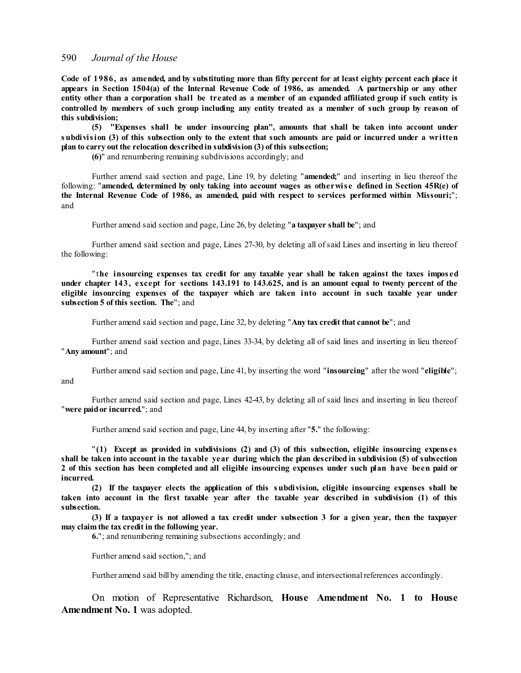Code of 1986, as amended, and by substituting more than fifty percent for at least eighty percent each place it appears in Section 1504(a) of the Internal Revenue Code of 1986, as amended. A partnership or any other entity other than a corporation shall be treated as a member of an expanded affiliated group if such entity is controlled by members of such group including any entity treated as a member of such group by reason of **this subdivision;**

**(5) "Expenses shall be under insourcing plan", amounts that shall be taken into account under** subdivision (3) of this subsection only to the extent that such amounts are paid or incurred under a written **plan to carry out the relocation describedin subdivision (3) of this subsection;**

**(6)**" and renumbering remaining subdivisions accordingly; and

Further amend said section and page, Line 19, by deleting "**amended;**" and inserting in lieu thereof the following: "**amended, determined by only taking into account wages as otherwis e defined in Section 45R(e) of the Internal Revenue Code of 1986, as amended, paid with respect to services performed within Missouri;**"; and

Further amend said section and page, Line 26, by deleting "**a taxpayer shall be**"; and

Further amend said section and page, Lines 27-30, by deleting all ofsaid Lines and inserting in lieu thereof the following:

" t**he insourcing expenses tax credit for any taxable year shall be taken against the taxes impos ed** under chapter 143, except for sections 143.191 to 143.625, and is an amount equal to twenty percent of the **eligible insourcing expenses of the taxpayer which are taken into account in such taxable year under subsection 5 of this section. The**"; and

Further amend said section and page, Line 32, by deleting "**Any tax credit that cannot be**"; and

Further amend said section and page, Lines 33-34, by deleting all of said lines and inserting in lieu thereof "**Any amount**"; and

Further amend said section and page, Line 41, by inserting the word "**insourcing**" after the word "**eligible**"; and

Further amend said section and page, Lines 42-43, by deleting all of said lines and inserting in lieu thereof "**were paidor incurred.**"; and

Further amend said section and page, Line 44, by inserting after "**5.**" the following:

" **(1) Except as provided in subdivisions (2) and (3) of this subsection, eligible insourcing expens es** shall be taken into account in the taxable year during which the plan described in subdivision (5) of subsection 2 of this section has been completed and all eligible insourcing expenses under such plan have been paid or **incurred.**

**(2) If the taxpayer elects the application of this subdivision, eligible insourcing expenses shall be taken into account in the first taxable year after the taxable year described in subdivision (1) of this subsection.**

(3) If a taxpayer is not allowed a tax credit under subsection 3 for a given year, then the taxpayer **may claim the tax credit in the following year.**

**6.**"; and renumbering remaining subsections accordingly; and

Further amend said section,"; and

Further amend said bill by amending the title, enacting clause, and intersectional references accordingly.

On motion of Representative Richardson, **House Amendment No. 1 to House Amendment No. 1** was adopted.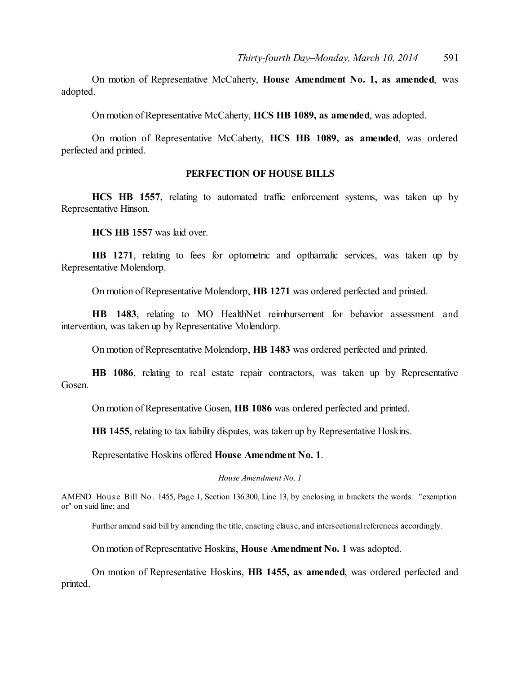On motion of Representative McCaherty, **House Amendment No. 1, as amended**, was adopted.

On motion of Representative McCaherty, **HCS HB 1089, as amended**, was adopted.

On motion of Representative McCaherty, **HCS HB 1089, as amended**, was ordered perfected and printed.

## **PERFECTION OF HOUSE BILLS**

**HCS HB 1557**, relating to automated traffic enforcement systems, was taken up by Representative Hinson.

**HCS HB 1557** was laid over.

**HB 1271**, relating to fees for optometric and opthamalic services, was taken up by Representative Molendorp.

On motion of Representative Molendorp, **HB 1271** was ordered perfected and printed.

**HB 1483**, relating to MO HealthNet reimbursement for behavior assessment and intervention, was taken up by Representative Molendorp.

On motion of Representative Molendorp, **HB 1483** was ordered perfected and printed.

**HB 1086**, relating to real estate repair contractors, was taken up by Representative Gosen.

On motion of Representative Gosen, **HB 1086** was ordered perfected and printed.

**HB 1455**, relating to tax liability disputes, was taken up by Representative Hoskins.

Representative Hoskins offered **House Amendment No. 1**.

*House Amendment No. 1*

AMEND House Bill No. 1455, Page 1, Section 136.300, Line 13, by enclosing in brackets the words: "exemption" or" on said line; and

Further amend said bill by amending the title, enacting clause, and intersectional references accordingly.

On motion of Representative Hoskins, **House Amendment No. 1** was adopted.

On motion of Representative Hoskins, **HB 1455, as amended**, was ordered perfected and printed.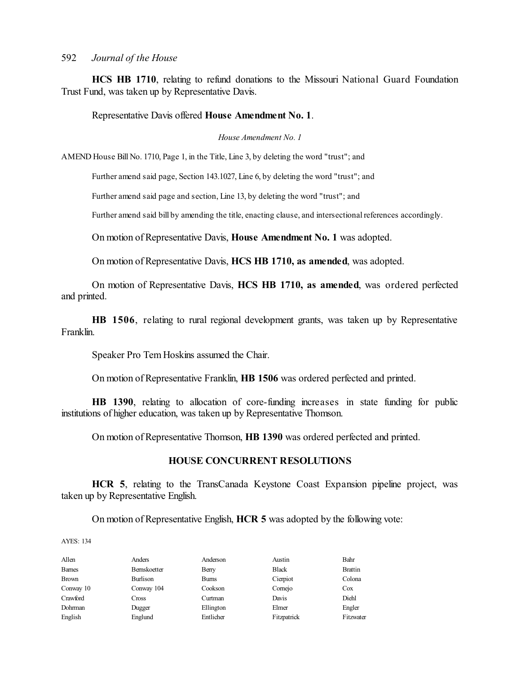**HCS HB 1710**, relating to refund donations to the Missouri National Guard Foundation Trust Fund, was taken up by Representative Davis.

Representative Davis offered **House Amendment No. 1**.

*House Amendment No. 1*

AMEND House Bill No. 1710, Page 1, in the Title, Line 3, by deleting the word "trust"; and

Further amend said page, Section 143.1027, Line 6, by deleting the word "trust"; and

Further amend said page and section, Line 13, by deleting the word "trust"; and

Further amend said bill by amending the title, enacting clause, and intersectional references accordingly.

On motion of Representative Davis, **House Amendment No. 1** was adopted.

On motion of Representative Davis, **HCS HB 1710, as amended**, was adopted.

On motion of Representative Davis, **HCS HB 1710, as amended**, was ordered perfected and printed.

**HB 1506**, relating to rural regional development grants, was taken up by Representative Franklin.

Speaker Pro Tem Hoskins assumed the Chair.

On motion of Representative Franklin, **HB 1506** was ordered perfected and printed.

**HB 1390**, relating to allocation of core-funding increases in state funding for public institutions of higher education, was taken up by Representative Thomson.

On motion of Representative Thomson, **HB 1390** was ordered perfected and printed.

## **HOUSE CONCURRENT RESOLUTIONS**

**HCR 5**, relating to the TransCanada Keystone Coast Expansion pipeline project, was taken up by Representative English.

On motion of Representative English, **HCR 5** was adopted by the following vote:

| Allen         | Anders       | Anderson     | Austin       | Bahr           |
|---------------|--------------|--------------|--------------|----------------|
| <b>Barnes</b> | Bernskoetter | Berry        | <b>Black</b> | <b>Brattin</b> |
| <b>Brown</b>  | Burlison     | <b>Burns</b> | Cierpiot     | Colona         |
| Conway 10     | Conway 104   | Cookson      | Comejo       | Cox            |
| Crawford      | Cross        | Curtman      | Davis        | Diehl          |
| Dohrman       | Dugger       | Ellington    | Elmer        | Engler         |
| English       | Englund      | Entlicher    | Fitzpatrick  | Fitzwater      |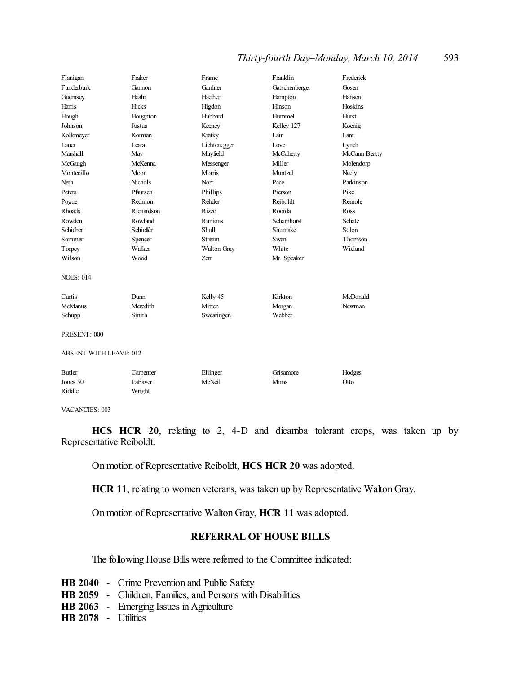## *Thirty-fourth Day–Monday, March 10, 2014* 593

| Flanigan                      | Fraker         | Frame          | Franklin       | Frederick     |
|-------------------------------|----------------|----------------|----------------|---------------|
| Funderburk                    | Gannon         | Gardner        | Gatschenberger | Gosen         |
| Guernsey                      | Haahr          | Haefner        | Hampton        | Hansen        |
| Harris                        | Hicks          | Higdon         | Hinson         | Hoskins       |
| Hough                         | Houghton       | Hubbard        | Hummel         | Hurst         |
| Johnson                       | Justus         | Keeney         | Kelley 127     | Koenig        |
| Kolkmeyer                     | Korman         | Kratky         | Lair           | Lant          |
| Lauer                         | Leara          | Lichtenegger   | Love           | Lynch         |
| Marshall                      | May            | Mayfield       | McCaherty      | McCann Beatty |
| McGaugh                       | McKenna        | Messenger      | Miller         | Molendorp     |
| Montecillo                    | Moon           | Morris         | Muntzel        | Neely         |
| Neth                          | <b>Nichols</b> | Norr           | Pace           | Parkinson     |
| Peters                        | Pfautsch       | Phillips       | Pierson        | Pike          |
| Pogue                         | Redmon         | Rehder         | Reiboldt       | Remole        |
| Rhoads                        | Richardson     | <b>Rizzo</b>   | Roorda         | Ross          |
| Rowden                        | Rowland        | <b>Runions</b> | Schamhorst     | <b>Schatz</b> |
| Schieber                      | Schieffer      | Shull          | Shumake        | Solon         |
| Sommer                        | Spencer        | <b>Stream</b>  | Swan           | Thomson       |
| Torpey                        | Walker         | Walton Gray    | White          | Wieland       |
| Wilson                        | Wood           | Zerr           | Mr. Speaker    |               |
| <b>NOES: 014</b>              |                |                |                |               |
| Curtis                        | Dunn           | Kelly 45       | Kirkton        | McDonald      |
| <b>McManus</b>                | Meredith       | Mitten         | Morgan         | Newman        |
| Schupp                        | Smith          | Swearingen     | Webber         |               |
| PRESENT: 000                  |                |                |                |               |
| <b>ABSENT WITH LEAVE: 012</b> |                |                |                |               |
| Butler                        | Carpenter      | Ellinger       | Grisamore      | Hodges        |
| Jones 50                      | LaFaver        | McNeil         | Mims           | Otto          |
| Riddle                        | Wright         |                |                |               |

VACANCIES: 003

**HCS HCR 20**, relating to 2, 4-D and dicamba tolerant crops, was taken up by Representative Reiboldt.

On motion of Representative Reiboldt, **HCS HCR 20** was adopted.

**HCR 11**, relating to women veterans, was taken up by Representative Walton Gray.

On motion of Representative Walton Gray, **HCR 11** was adopted.

#### **REFERRAL OF HOUSE BILLS**

The following House Bills were referred to the Committee indicated:

- **HB 2040** Crime Prevention and Public Safety
- **HB 2059** Children, Families, and Persons with Disabilities
- **HB 2063** Emerging Issues in Agriculture

**HB 2078** - Utilities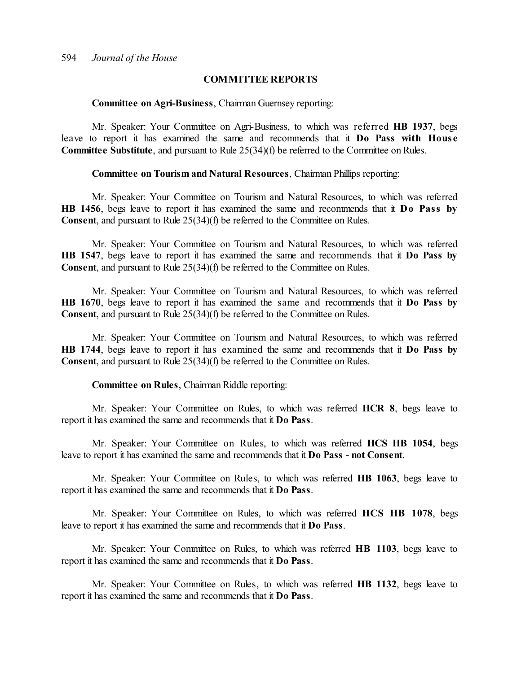## **COMMITTEE REPORTS**

#### **Committee on Agri-Business**, Chairman Guernsey reporting:

Mr. Speaker: Your Committee on Agri-Business, to which was referred **HB 1937**, begs leave to report it has examined the same and recommends that it **Do Pass with Hous e Committee Substitute**, and pursuant to Rule 25(34)(f) be referred to the Committee on Rules.

#### **Committee on Tourism and Natural Resources**, Chairman Phillips reporting:

Mr. Speaker: Your Committee on Tourism and Natural Resources, to which was referred **HB 1456**, begs leave to report it has examined the same and recommends that it **Do Pass by Consent**, and pursuant to Rule 25(34)(f) be referred to the Committee on Rules.

Mr. Speaker: Your Committee on Tourism and Natural Resources, to which was referred **HB 1547**, begs leave to report it has examined the same and recommends that it **Do Pass by Consent**, and pursuant to Rule 25(34)(f) be referred to the Committee on Rules.

Mr. Speaker: Your Committee on Tourism and Natural Resources, to which was referred **HB 1670**, begs leave to report it has examined the same and recommends that it **Do Pass by Consent**, and pursuant to Rule 25(34)(f) be referred to the Committee on Rules.

Mr. Speaker: Your Committee on Tourism and Natural Resources, to which was referred **HB 1744**, begs leave to report it has examined the same and recommends that it **Do Pass by Consent**, and pursuant to Rule 25(34)(f) be referred to the Committee on Rules.

#### **Committee on Rules**, Chairman Riddle reporting:

Mr. Speaker: Your Committee on Rules, to which was referred **HCR 8**, begs leave to report it has examined the same and recommends that it **Do Pass**.

Mr. Speaker: Your Committee on Rules, to which was referred **HCS HB 1054**, begs leave to report it has examined the same and recommends that it **Do Pass - not Consent**.

Mr. Speaker: Your Committee on Rules, to which was referred **HB 1063**, begs leave to report it has examined the same and recommends that it **Do Pass**.

Mr. Speaker: Your Committee on Rules, to which was referred **HCS HB 1078**, begs leave to report it has examined the same and recommends that it **Do Pass**.

Mr. Speaker: Your Committee on Rules, to which was referred **HB 1103**, begs leave to report it has examined the same and recommends that it **Do Pass**.

Mr. Speaker: Your Committee on Rules, to which was referred **HB 1132**, begs leave to report it has examined the same and recommends that it **Do Pass**.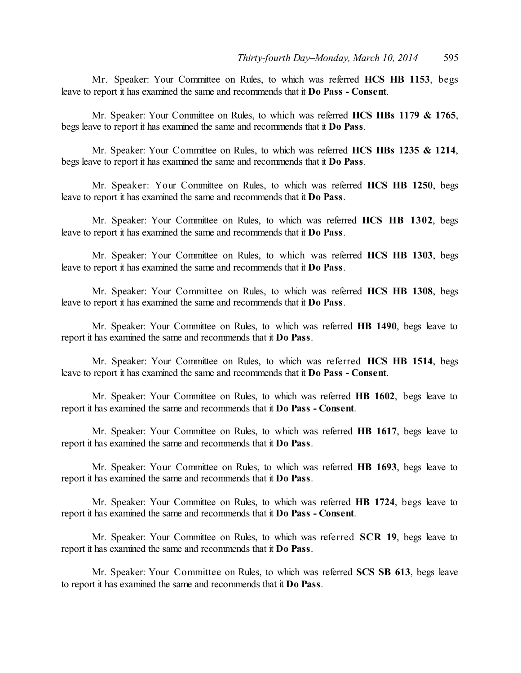Mr. Speaker: Your Committee on Rules, to which was referred **HCS HB 1153**, begs leave to report it has examined the same and recommends that it **Do Pass - Consent**.

Mr. Speaker: Your Committee on Rules, to which was referred **HCS HBs 1179 & 1765**, begs leave to report it has examined the same and recommends that it **Do Pass**.

Mr. Speaker: Your Committee on Rules, to which was referred **HCS HBs 1235 & 1214**, begs leave to report it has examined the same and recommends that it **Do Pass**.

Mr. Speaker: Your Committee on Rules, to which was referred **HCS HB 1250**, begs leave to report it has examined the same and recommends that it **Do Pass**.

Mr. Speaker: Your Committee on Rules, to which was referred **HCS HB 1302**, begs leave to report it has examined the same and recommends that it **Do Pass**.

Mr. Speaker: Your Committee on Rules, to which was referred **HCS HB 1303**, begs leave to report it has examined the same and recommends that it **Do Pass**.

Mr. Speaker: Your Committee on Rules, to which was referred **HCS HB 1308**, begs leave to report it has examined the same and recommends that it **Do Pass**.

Mr. Speaker: Your Committee on Rules, to which was referred **HB 1490**, begs leave to report it has examined the same and recommends that it **Do Pass**.

Mr. Speaker: Your Committee on Rules, to which was referred **HCS HB 1514**, begs leave to report it has examined the same and recommends that it **Do Pass - Consent**.

Mr. Speaker: Your Committee on Rules, to which was referred **HB 1602**, begs leave to report it has examined the same and recommends that it **Do Pass - Consent**.

Mr. Speaker: Your Committee on Rules, to which was referred **HB 1617**, begs leave to report it has examined the same and recommends that it **Do Pass**.

Mr. Speaker: Your Committee on Rules, to which was referred **HB 1693**, begs leave to report it has examined the same and recommends that it **Do Pass**.

Mr. Speaker: Your Committee on Rules, to which was referred **HB 1724**, begs leave to report it has examined the same and recommends that it **Do Pass - Consent**.

Mr. Speaker: Your Committee on Rules, to which was referred **SCR 19**, begs leave to report it has examined the same and recommends that it **Do Pass**.

Mr. Speaker: Your Committee on Rules, to which was referred **SCS SB 613**, begs leave to report it has examined the same and recommends that it **Do Pass**.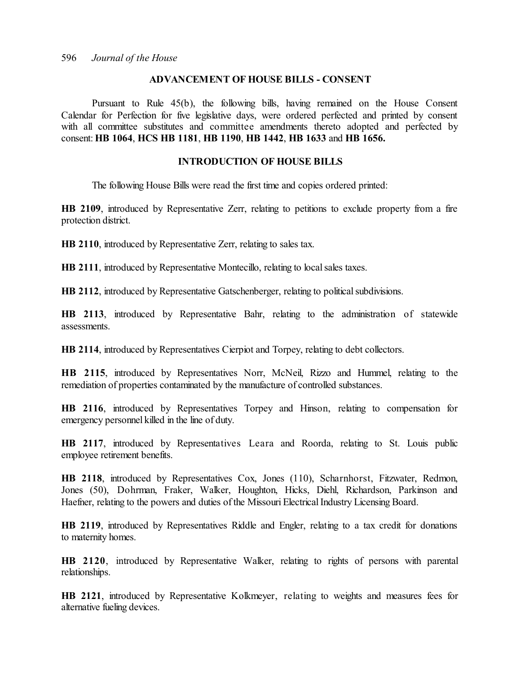#### **ADVANCEMENT OF HOUSE BILLS - CONSENT**

Pursuant to Rule 45(b), the following bills, having remained on the House Consent Calendar for Perfection for five legislative days, were ordered perfected and printed by consent with all committee substitutes and committee amendments thereto adopted and perfected by consent: **HB 1064**, **HCS HB 1181**, **HB 1190**, **HB 1442**, **HB 1633** and **HB 1656.**

#### **INTRODUCTION OF HOUSE BILLS**

The following House Bills were read the first time and copies ordered printed:

**HB 2109**, introduced by Representative Zerr, relating to petitions to exclude property from a fire protection district.

**HB 2110**, introduced by Representative Zerr, relating to sales tax.

**HB 2111**, introduced by Representative Montecillo, relating to local sales taxes.

**HB 2112**, introduced by Representative Gatschenberger, relating to political subdivisions.

**HB 2113**, introduced by Representative Bahr, relating to the administration of statewide assessments.

**HB 2114**, introduced by Representatives Cierpiot and Torpey, relating to debt collectors.

**HB 2115**, introduced by Representatives Norr, McNeil, Rizzo and Hummel, relating to the remediation of properties contaminated by the manufacture of controlled substances.

**HB 2116**, introduced by Representatives Torpey and Hinson, relating to compensation for emergency personnel killed in the line of duty.

**HB 2117**, introduced by Representatives Leara and Roorda, relating to St. Louis public employee retirement benefits.

**HB 2118**, introduced by Representatives Cox, Jones (110), Scharnhorst, Fitzwater, Redmon, Jones (50), Dohrman, Fraker, Walker, Houghton, Hicks, Diehl, Richardson, Parkinson and Haefner, relating to the powers and duties of the Missouri Electrical Industry Licensing Board.

**HB 2119**, introduced by Representatives Riddle and Engler, relating to a tax credit for donations to maternity homes.

**HB 2120**, introduced by Representative Walker, relating to rights of persons with parental relationships.

**HB 2121**, introduced by Representative Kolkmeyer, relating to weights and measures fees for alternative fueling devices.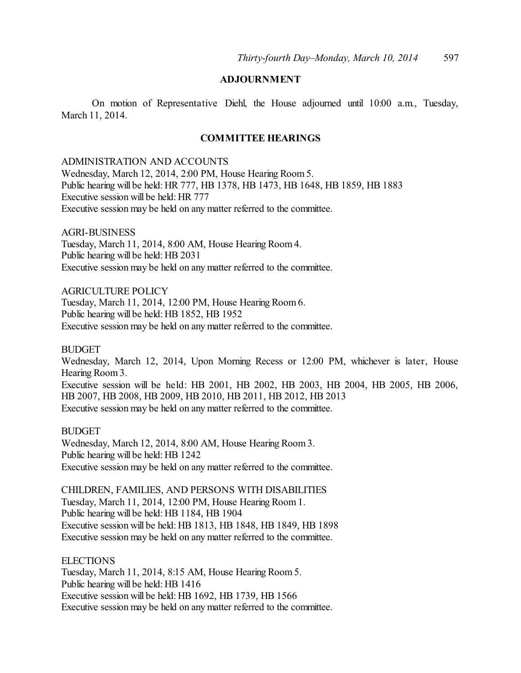# **ADJOURNMENT**

On motion of Representative Diehl, the House adjourned until 10:00 a.m., Tuesday, March 11, 2014.

## **COMMITTEE HEARINGS**

#### ADMINISTRATION AND ACCOUNTS

Wednesday, March 12, 2014, 2:00 PM, House Hearing Room 5. Public hearing will be held: HR 777, HB 1378, HB 1473, HB 1648, HB 1859, HB 1883 Executive session will be held: HR 777 Executive session may be held on any matter referred to the committee.

#### AGRI-BUSINESS

Tuesday, March 11, 2014, 8:00 AM, House Hearing Room 4. Public hearing will be held: HB 2031 Executive session may be held on any matter referred to the committee.

## AGRICULTURE POLICY

Tuesday, March 11, 2014, 12:00 PM, House Hearing Room 6. Public hearing will be held: HB 1852, HB 1952 Executive session may be held on any matter referred to the committee.

#### **BUDGET**

Wednesday, March 12, 2014, Upon Morning Recess or 12:00 PM, whichever is later, House Hearing Room 3. Executive session will be held: HB 2001, HB 2002, HB 2003, HB 2004, HB 2005, HB 2006, HB 2007, HB 2008, HB 2009, HB 2010, HB 2011, HB 2012, HB 2013 Executive session may be held on any matter referred to the committee.

#### BUDGET

Wednesday, March 12, 2014, 8:00 AM, House Hearing Room3. Public hearing will be held: HB 1242 Executive session may be held on any matter referred to the committee.

CHILDREN, FAMILIES, AND PERSONS WITH DISABILITIES Tuesday, March 11, 2014, 12:00 PM, House Hearing Room 1. Public hearing will be held: HB 1184, HB 1904 Executive session will be held: HB 1813, HB 1848, HB 1849, HB 1898 Executive session may be held on any matter referred to the committee.

#### **ELECTIONS**

Tuesday, March 11, 2014, 8:15 AM, House Hearing Room 5. Public hearing will be held: HB 1416 Executive session will be held: HB 1692, HB 1739, HB 1566 Executive session may be held on any matter referred to the committee.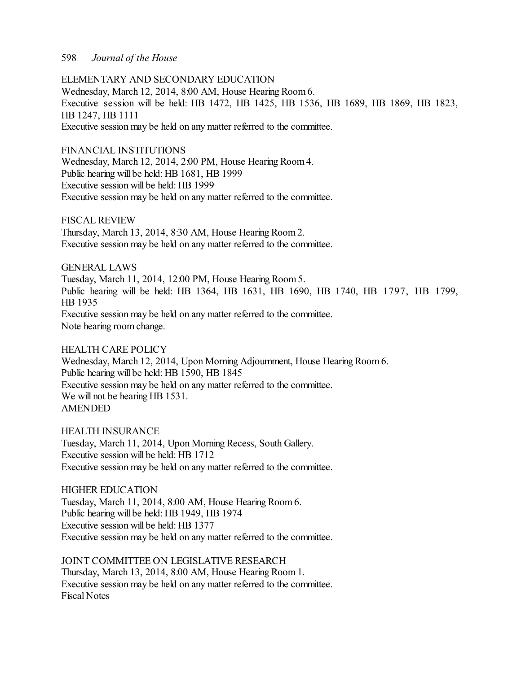ELEMENTARY AND SECONDARY EDUCATION Wednesday, March 12, 2014, 8:00 AM, House Hearing Room6. Executive session will be held: HB 1472, HB 1425, HB 1536, HB 1689, HB 1869, HB 1823, HB 1247, HB 1111 Executive session may be held on any matter referred to the committee.

FINANCIAL INSTITUTIONS Wednesday, March 12, 2014, 2:00 PM, House Hearing Room 4. Public hearing will be held: HB 1681, HB 1999 Executive session will be held: HB 1999 Executive session may be held on any matter referred to the committee.

FISCAL REVIEW Thursday, March 13, 2014, 8:30 AM, House Hearing Room 2. Executive session may be held on any matter referred to the committee.

GENERAL LAWS Tuesday, March 11, 2014, 12:00 PM, House Hearing Room 5. Public hearing will be held: HB 1364, HB 1631, HB 1690, HB 1740, HB 1797, HB 1799, HB 1935 Executive session may be held on any matter referred to the committee. Note hearing room change.

HEALTH CARE POLICY Wednesday, March 12, 2014, Upon Morning Adjournment, House Hearing Room 6. Public hearing will be held: HB 1590, HB 1845 Executive session may be held on any matter referred to the committee. We will not be hearing HB 1531. AMENDED

HEALTH INSURANCE Tuesday, March 11, 2014, Upon Morning Recess, South Gallery. Executive session will be held: HB 1712 Executive session may be held on any matter referred to the committee.

HIGHER EDUCATION Tuesday, March 11, 2014, 8:00 AM, House Hearing Room 6. Public hearing will be held: HB 1949, HB 1974 Executive session will be held: HB 1377 Executive session may be held on any matter referred to the committee.

JOINT COMMITTEE ON LEGISLATIVE RESEARCH Thursday, March 13, 2014, 8:00 AM, House Hearing Room 1. Executive session may be held on any matter referred to the committee. Fiscal Notes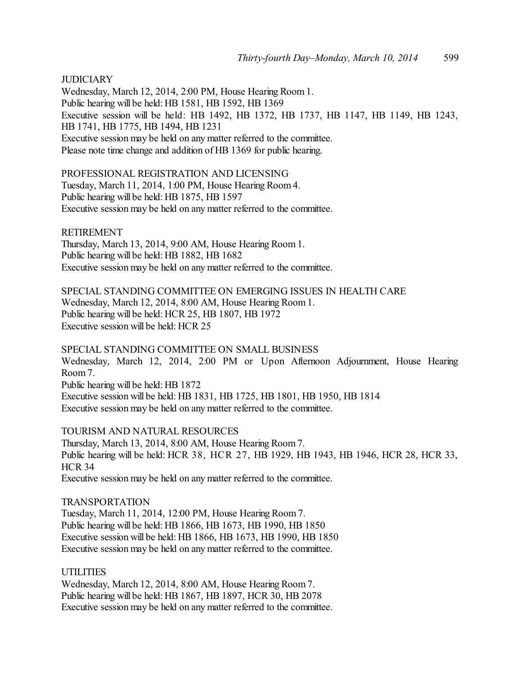## **JUDICIARY**

Wednesday, March 12, 2014, 2:00 PM, House Hearing Room 1. Public hearing will be held: HB 1581, HB 1592, HB 1369 Executive session will be held: HB 1492, HB 1372, HB 1737, HB 1147, HB 1149, HB 1243, HB 1741, HB 1775, HB 1494, HB 1231 Executive session may be held on any matter referred to the committee. Please note time change and addition of HB 1369 for public hearing.

PROFESSIONAL REGISTRATION AND LICENSING

Tuesday, March 11, 2014, 1:00 PM, House Hearing Room 4. Public hearing will be held: HB 1875, HB 1597 Executive session may be held on any matter referred to the committee.

RETIREMENT

Thursday, March 13, 2014, 9:00 AM, House Hearing Room 1. Public hearing will be held: HB 1882, HB 1682 Executive session may be held on any matter referred to the committee.

SPECIAL STANDING COMMITTEE ON EMERGING ISSUES IN HEALTH CARE Wednesday, March 12, 2014, 8:00 AM, House Hearing Room1. Public hearing will be held: HCR 25, HB 1807, HB 1972 Executive session will be held: HCR 25

SPECIAL STANDING COMMITTEE ON SMALL BUSINESS Wednesday, March 12, 2014, 2:00 PM or Upon Afternoon Adjournment, House Hearing Room 7. Public hearing will be held: HB 1872 Executive session will be held: HB 1831, HB 1725, HB 1801, HB 1950, HB 1814 Executive session may be held on any matter referred to the committee.

TOURISM AND NATURAL RESOURCES

Thursday, March 13, 2014, 8:00 AM, House Hearing Room 7. Public hearing will be held: HCR 38, HCR 27, HB 1929, HB 1943, HB 1946, HCR 28, HCR 33, HCR 34 Executive session may be held on any matter referred to the committee.

#### TRANSPORTATION

Tuesday, March 11, 2014, 12:00 PM, House Hearing Room 7. Public hearing will be held: HB 1866, HB 1673, HB 1990, HB 1850 Executive session will be held: HB 1866, HB 1673, HB 1990, HB 1850 Executive session may be held on any matter referred to the committee.

### UTILITIES

Wednesday, March 12, 2014, 8:00 AM, House Hearing Room7. Public hearing will be held: HB 1867, HB 1897, HCR 30, HB 2078 Executive session may be held on any matter referred to the committee.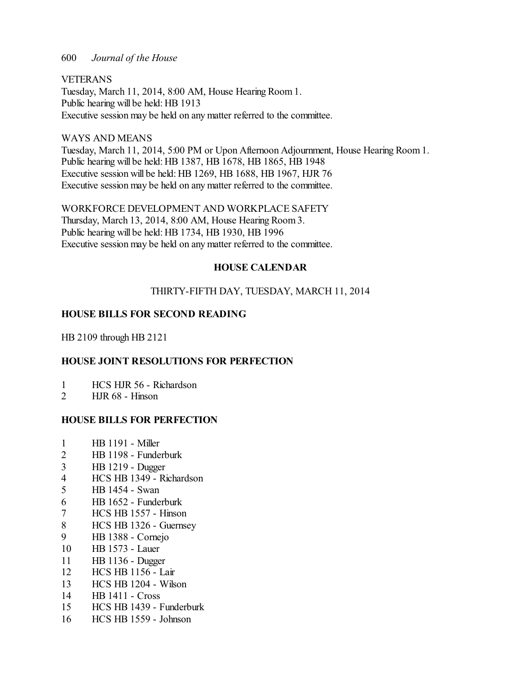VETERANS Tuesday, March 11, 2014, 8:00 AM, House Hearing Room 1. Public hearing will be held: HB 1913 Executive session may be held on any matter referred to the committee.

## WAYS AND MEANS

Tuesday, March 11, 2014, 5:00 PM or Upon Afternoon Adjournment, House Hearing Room 1. Public hearing will be held: HB 1387, HB 1678, HB 1865, HB 1948 Executive session will be held: HB 1269, HB 1688, HB 1967, HJR 76 Executive session may be held on any matter referred to the committee.

WORKFORCE DEVELOPMENT AND WORKPLACE SAFETY Thursday, March 13, 2014, 8:00 AM, House Hearing Room 3. Public hearing will be held: HB 1734, HB 1930, HB 1996 Executive session may be held on any matter referred to the committee.

## **HOUSE CALENDAR**

## THIRTY-FIFTH DAY, TUESDAY, MARCH 11, 2014

# **HOUSE BILLS FOR SECOND READING**

HB 2109 through HB 2121

# **HOUSE JOINT RESOLUTIONS FOR PERFECTION**

- 1 HCS HJR 56 Richardson
- 2 HJR 68 Hinson

## **HOUSE BILLS FOR PERFECTION**

- 1 HB 1191 Miller
- 2 HB 1198 Funderburk
- 3 HB 1219 Dugger
- 4 HCS HB 1349 Richardson
- 5 HB 1454 Swan
- 6 HB 1652 Funderburk
- 7 HCS HB 1557 Hinson
- 8 HCS HB 1326 Guernsey
- 9 HB 1388 Cornejo
- 10 HB 1573 Lauer
- 11 HB 1136 Dugger
- 12 HCS HB 1156 Lair
- 13 HCS HB 1204 Wilson
- 14 HB 1411 Cross
- 15 HCS HB 1439 Funderburk
- 16 HCS HB 1559 Johnson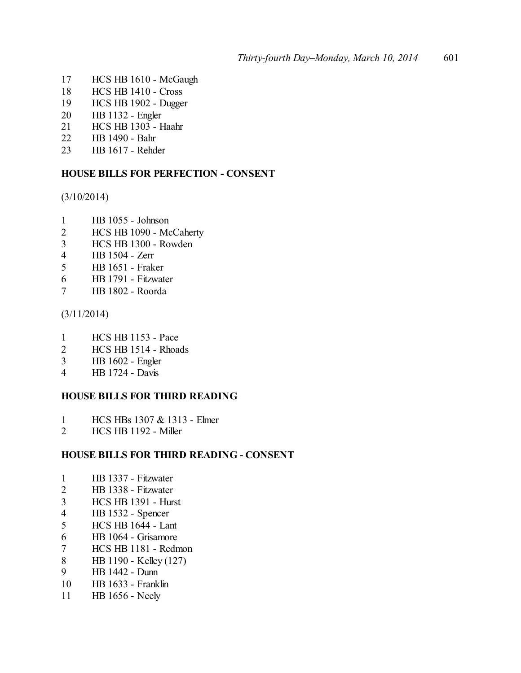- HCS HB 1610 McGaugh
- HCS HB 1410 Cross
- HCS HB 1902 Dugger
- HB 1132 Engler
- HCS HB 1303 Haahr
- HB 1490 Bahr
- HB 1617 Rehder

## **HOUSE BILLS FOR PERFECTION - CONSENT**

(3/10/2014)

- HB 1055 Johnson
- HCS HB 1090 McCaherty
- HCS HB 1300 Rowden
- HB 1504 Zerr
- HB 1651 Fraker
- HB 1791 Fitzwater
- HB 1802 Roorda

(3/11/2014)

- HCS HB 1153 Pace
- 2 HCS HB 1514 Rhoads
- HB 1602 Engler
- HB 1724 Davis

## **HOUSE BILLS FOR THIRD READING**

- 1 HCS HBs 1307 & 1313 Elmer<br>2 HCS HB 1192 Miller
- HCS HB 1192 Miller

## **HOUSE BILLS FOR THIRD READING - CONSENT**

- HB 1337 Fitzwater
- HB 1338 Fitzwater
- HCS HB 1391 Hurst
- HB 1532 Spencer
- HCS HB 1644 Lant
- HB 1064 Grisamore
- HCS HB 1181 Redmon
- 8 HB 1190 Kelley (127)<br>9 HB 1442 Dunn
- HB 1442 Dunn
- HB 1633 Franklin
- HB 1656 Neely